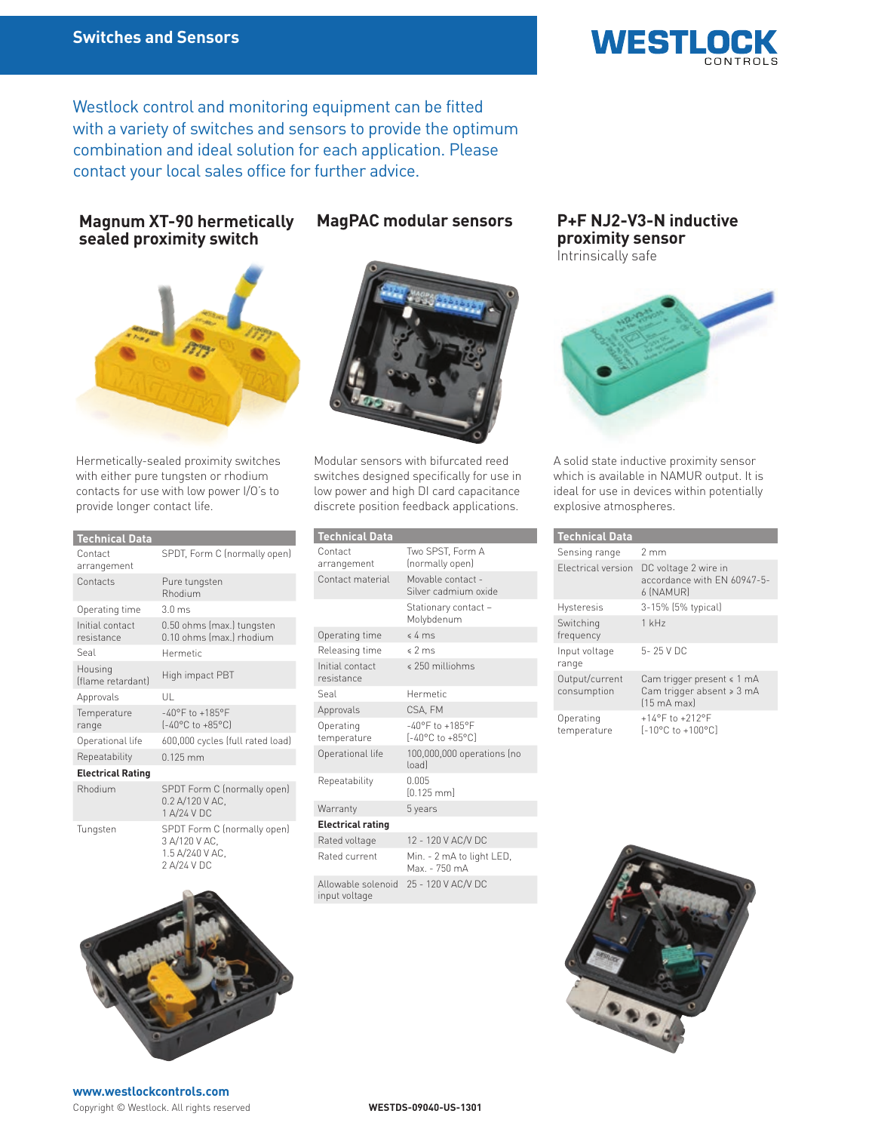

Westlock control and monitoring equipment can be fitted with a variety of switches and sensors to provide the optimum combination and ideal solution for each application. Please contact your local sales office for further advice.

## **Magnum XT-90 hermetically sealed proximity switch**



Hermetically-sealed proximity switches with either pure tungsten or rhodium contacts for use with low power I/O's to provide longer contact life.

| <b>Technical Data</b>         |                                                                                  |
|-------------------------------|----------------------------------------------------------------------------------|
| Contact<br>arrangement        | SPDT, Form C (normally open)                                                     |
| Contacts                      | Pure tungsten<br>Rhodium                                                         |
| Operating time                | $3.0 \text{ ms}$                                                                 |
| Initial contact<br>resistance | 0.50 ohms (max.) tungsten<br>0.10 ohms (max.) rhodium                            |
| Seal                          | Hermetic                                                                         |
| Housing<br>(flame retardant)  | High impact PBT                                                                  |
| Approvals                     | UL                                                                               |
| Temperature<br>range          | $-40^{\circ}$ F to $+185^{\circ}$ F<br>$[-40^{\circ}C \text{ to } +85^{\circ}C]$ |
| Operational life              | 600,000 cycles (full rated load)                                                 |
| Repeatability                 | $0.125$ mm                                                                       |
| <b>Electrical Rating</b>      |                                                                                  |
| Rhodium                       | SPDT Form C (normally open)<br>0.2 A/120 V AC.<br>1 A/24 V DC                    |
| Tungsten                      | SPDT Form C (normally open)<br>3 A/120 V AC,<br>1.5 A/240 V AC,<br>2 A/24 V DC   |





**MagPAC modular sensors** 

Modular sensors with bifurcated reed switches designed specifically for use in low power and high DI card capacitance discrete position feedback applications.

| <b>Technical Data</b>               |                                                                                  |
|-------------------------------------|----------------------------------------------------------------------------------|
| Contact<br>arrangement              | Two SPST. Form A<br>(normally open)                                              |
| Contact material                    | Movable contact -<br>Silver cadmium oxide                                        |
|                                     | Stationary contact –<br>Molybdenum                                               |
| Operating time                      | $\leq 4$ ms                                                                      |
| Releasing time                      | \$2 ms                                                                           |
| Initial contact<br>resistance       | $$250$ milliohms                                                                 |
| Seal                                | Hermetic                                                                         |
| Approvals                           | CSA, FM                                                                          |
| Operating<br>temperature            | $-40^{\circ}$ F to $+185^{\circ}$ F<br>$[-40^{\circ}C \text{ to } +85^{\circ}C]$ |
| Operational life                    | 100,000,000 operations (no<br>loadl                                              |
| Repeatability                       | 0.005<br>$[0.125$ mml                                                            |
| Warranty                            | 5 years                                                                          |
| <b>Electrical rating</b>            |                                                                                  |
| Rated voltage                       | 12 - 120 V AC/V DC                                                               |
| Rated current                       | Min. - 2 mA to light LED,<br>Max. - 750 mA                                       |
| bioneloz aldewollA<br>input voltage | 25 - 120 V AC/V DC                                                               |

### **P+F NJ2-V3-N inductive proximity sensor** Intrinsically safe



A solid state inductive proximity sensor which is available in NAMUR output. It is ideal for use in devices within potentially explosive atmospheres.

| <b>Technical Data</b>         |                                                                                               |
|-------------------------------|-----------------------------------------------------------------------------------------------|
| Sensing range                 | 2mm                                                                                           |
| Electrical version            | DC voltage 2 wire in<br>accordance with FN 60947-5-<br>6 (NAMUR)                              |
| Hysteresis                    | 3-15% (5% typical)                                                                            |
| Switching<br>frequency        | $1$ kHz                                                                                       |
| Input voltage<br>range        | 5-25 VDC                                                                                      |
| Output/current<br>consumption | Cam trigger present $\leq 1$ mA<br>Cam trigger absent > 3 mA<br>$[15 \text{ mA} \text{ max}]$ |
| Operating<br>temperature      | $+14^{\circ}$ F to $+212^{\circ}$ F<br>[-10°C to +100°C]                                      |